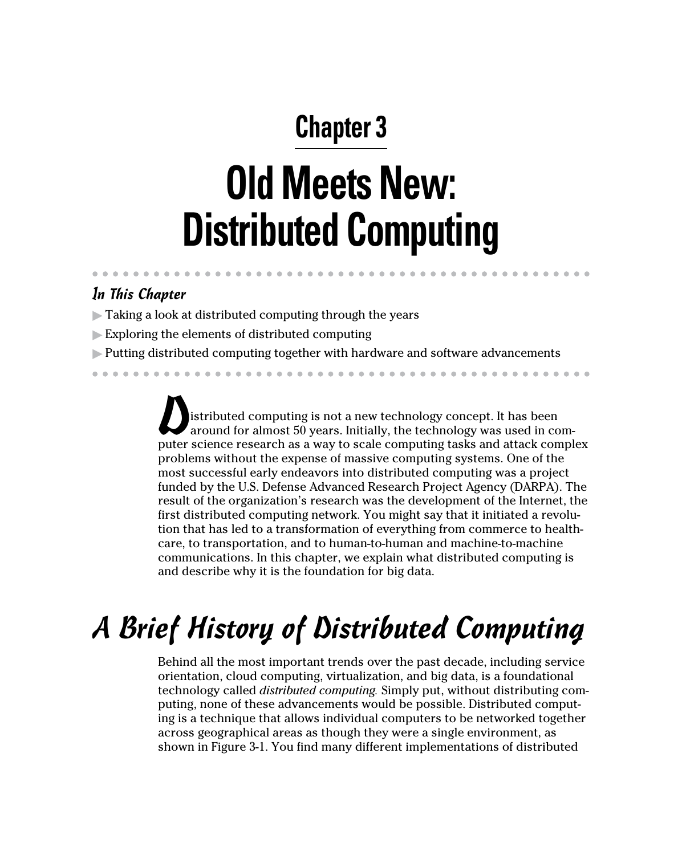# **Chapter 3 Old Meets New: Distributed Computing**

#### In This Chapter

- ▶ Taking a look at distributed computing through the years
- $\triangleright$  Exploring the elements of distributed computing

 $\begin{smallmatrix}&&6\\9&&6\\6&&6\\0&&6\end{smallmatrix} \begin{smallmatrix}&&6\\6&&6\\6&&6\\6&&6\\6&&6\end{smallmatrix} \begin{smallmatrix}&&6\\6&&6\\6&&6\\6&&6\\6&&6\end{smallmatrix}$ 

▶ Putting distributed computing together with hardware and software advancements

istributed computing is not a new technology concept. It has been around for almost 50 years. Initially, the technology was used in computer science research as a way to scale computing tasks and attack complex problems without the expense of massive computing systems. One of the most successful early endeavors into distributed computing was a project funded by the U.S. Defense Advanced Research Project Agency (DARPA). The result of the organization's research was the development of the Internet, the first distributed computing network. You might say that it initiated a revolution that has led to a transformation of everything from commerce to healthcare, to transportation, and to human-to-human and machine-to-machine communications. In this chapter, we explain what distributed computing is and describe why it is the foundation for big data.

## A Brief History of Distributed Computing

Behind all the most important trends over the past decade, including service orientation, cloud computing, virtualization, and big data, is a foundational technology called *distributed computing.* Simply put, without distributing computing, none of these advancements would be possible. Distributed computing is a technique that allows individual computers to be networked together across geographical areas as though they were a single environment, as shown in Figure 3-1. You find many different implementations of distributed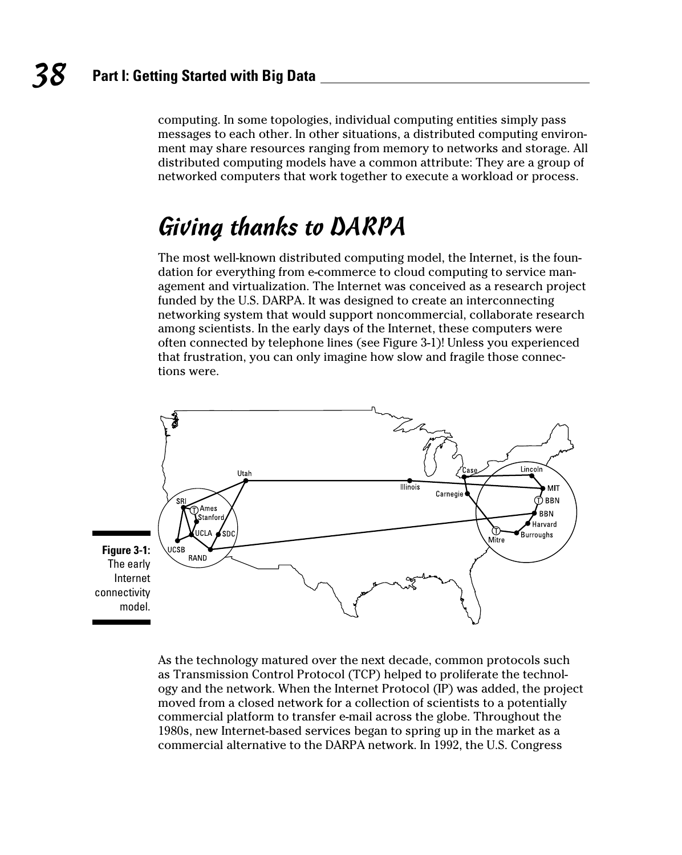computing. In some topologies, individual computing entities simply pass messages to each other. In other situations, a distributed computing environment may share resources ranging from memory to networks and storage. All distributed computing models have a common attribute: They are a group of networked computers that work together to execute a workload or process.

#### Giving thanks to DARPA

The most well-known distributed computing model, the Internet, is the foundation for everything from e-commerce to cloud computing to service management and virtualization. The Internet was conceived as a research project funded by the U.S. DARPA. It was designed to create an interconnecting networking system that would support noncommercial, collaborate research among scientists. In the early days of the Internet, these computers were often connected by telephone lines (see Figure 3-1)! Unless you experienced that frustration, you can only imagine how slow and fragile those connections were.



As the technology matured over the next decade, common protocols such as Transmission Control Protocol (TCP) helped to proliferate the technology and the network. When the Internet Protocol (IP) was added, the project moved from a closed network for a collection of scientists to a potentially commercial platform to transfer e-mail across the globe. Throughout the 1980s, new Internet-based services began to spring up in the market as a commercial alternative to the DARPA network. In 1992, the U.S. Congress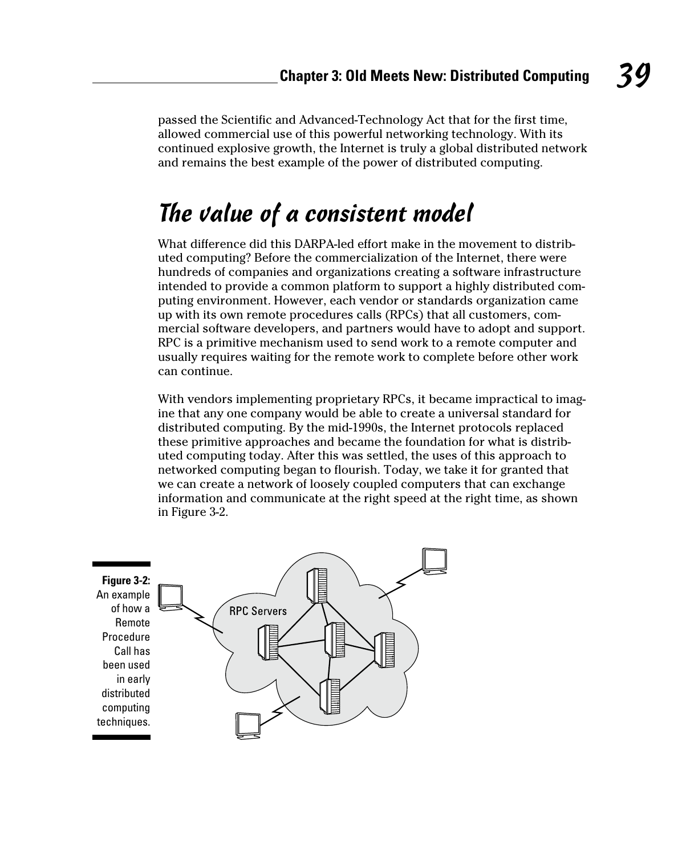passed the Scientific and Advanced-Technology Act that for the first time, allowed commercial use of this powerful networking technology. With its continued explosive growth, the Internet is truly a global distributed network and remains the best example of the power of distributed computing.

#### The value of a consistent model

What difference did this DARPA-led effort make in the movement to distributed computing? Before the commercialization of the Internet, there were hundreds of companies and organizations creating a software infrastructure intended to provide a common platform to support a highly distributed computing environment. However, each vendor or standards organization came up with its own remote procedures calls (RPCs) that all customers, commercial software developers, and partners would have to adopt and support. RPC is a primitive mechanism used to send work to a remote computer and usually requires waiting for the remote work to complete before other work can continue.

With vendors implementing proprietary RPCs, it became impractical to imagine that any one company would be able to create a universal standard for distributed computing. By the mid-1990s, the Internet protocols replaced these primitive approaches and became the foundation for what is distributed computing today. After this was settled, the uses of this approach to networked computing began to flourish. Today, we take it for granted that we can create a network of loosely coupled computers that can exchange information and communicate at the right speed at the right time, as shown in Figure 3-2.

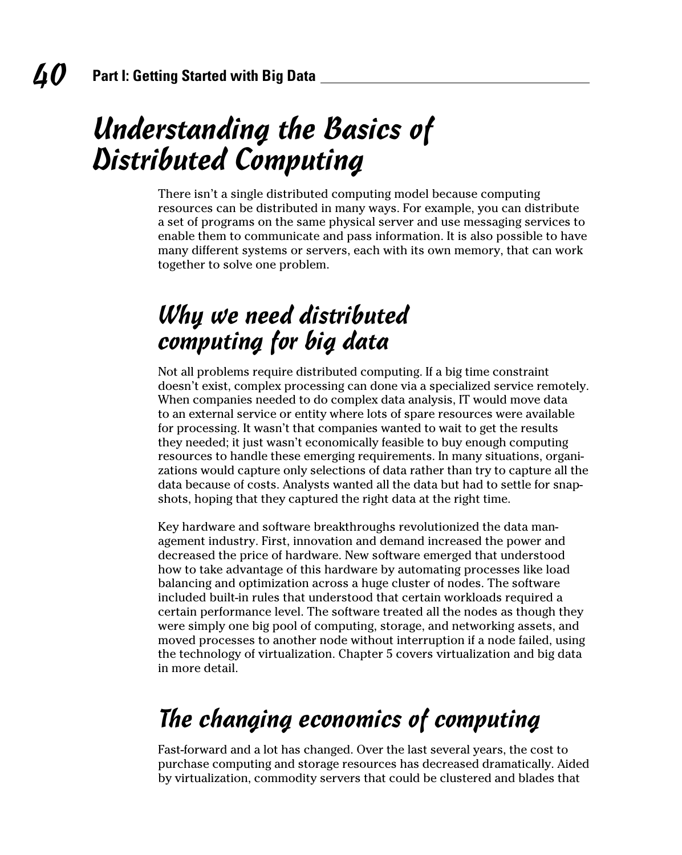## Understanding the Basics of Distributed Computing

There isn't a single distributed computing model because computing resources can be distributed in many ways. For example, you can distribute a set of programs on the same physical server and use messaging services to enable them to communicate and pass information. It is also possible to have many different systems or servers, each with its own memory, that can work together to solve one problem.

#### Why we need distributed computing for big data

Not all problems require distributed computing. If a big time constraint doesn't exist, complex processing can done via a specialized service remotely. When companies needed to do complex data analysis, IT would move data to an external service or entity where lots of spare resources were available for processing. It wasn't that companies wanted to wait to get the results they needed; it just wasn't economically feasible to buy enough computing resources to handle these emerging requirements. In many situations, organizations would capture only selections of data rather than try to capture all the data because of costs. Analysts wanted all the data but had to settle for snapshots, hoping that they captured the right data at the right time.

Key hardware and software breakthroughs revolutionized the data management industry. First, innovation and demand increased the power and decreased the price of hardware. New software emerged that understood how to take advantage of this hardware by automating processes like load balancing and optimization across a huge cluster of nodes. The software included built-in rules that understood that certain workloads required a certain performance level. The software treated all the nodes as though they were simply one big pool of computing, storage, and networking assets, and moved processes to another node without interruption if a node failed, using the technology of virtualization. Chapter 5 covers virtualization and big data in more detail.

#### The changing economics of computing

Fast-forward and a lot has changed. Over the last several years, the cost to purchase computing and storage resources has decreased dramatically. Aided by virtualization, commodity servers that could be clustered and blades that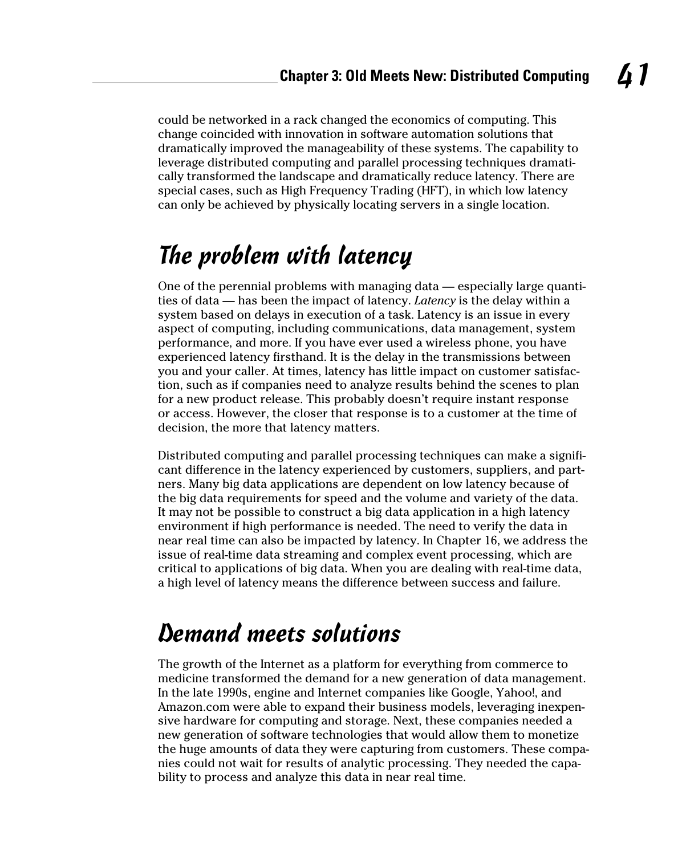could be networked in a rack changed the economics of computing. This change coincided with innovation in software automation solutions that dramatically improved the manageability of these systems. The capability to leverage distributed computing and parallel processing techniques dramatically transformed the landscape and dramatically reduce latency. There are special cases, such as High Frequency Trading (HFT), in which low latency can only be achieved by physically locating servers in a single location.

#### The problem with latency

One of the perennial problems with managing data — especially large quantities of data — has been the impact of latency. *Latency* is the delay within a system based on delays in execution of a task. Latency is an issue in every aspect of computing, including communications, data management, system performance, and more. If you have ever used a wireless phone, you have experienced latency firsthand. It is the delay in the transmissions between you and your caller. At times, latency has little impact on customer satisfaction, such as if companies need to analyze results behind the scenes to plan for a new product release. This probably doesn't require instant response or access. However, the closer that response is to a customer at the time of decision, the more that latency matters.

Distributed computing and parallel processing techniques can make a significant difference in the latency experienced by customers, suppliers, and partners. Many big data applications are dependent on low latency because of the big data requirements for speed and the volume and variety of the data. It may not be possible to construct a big data application in a high latency environment if high performance is needed. The need to verify the data in near real time can also be impacted by latency. In Chapter 16, we address the issue of real-time data streaming and complex event processing, which are critical to applications of big data. When you are dealing with real-time data, a high level of latency means the difference between success and failure.

#### Demand meets solutions

The growth of the Internet as a platform for everything from commerce to medicine transformed the demand for a new generation of data management. In the late 1990s, engine and Internet companies like Google, Yahoo!, and Amazon.com were able to expand their business models, leveraging inexpensive hardware for computing and storage. Next, these companies needed a new generation of software technologies that would allow them to monetize the huge amounts of data they were capturing from customers. These companies could not wait for results of analytic processing. They needed the capability to process and analyze this data in near real time.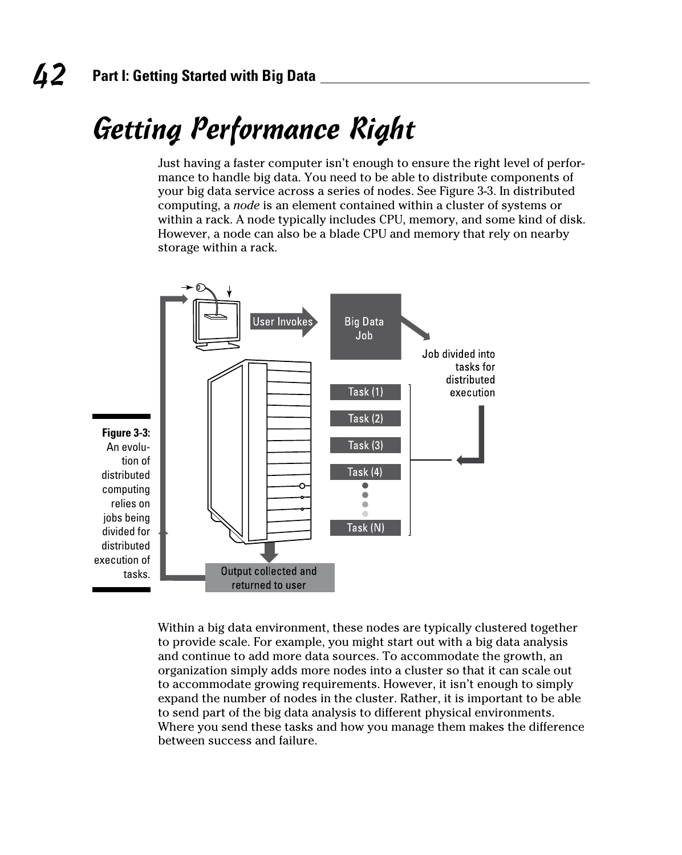## Getting Performance Right

Just having a faster computer isn't enough to ensure the right level of performance to handle big data. You need to be able to distribute components of your big data service across a series of nodes. See Figure 3-3. In distributed computing, a *node* is an element contained within a cluster of systems or within a rack. A node typically includes CPU, memory, and some kind of disk. However, a node can also be a blade CPU and memory that rely on nearby storage within a rack.



Within a big data environment, these nodes are typically clustered together to provide scale. For example, you might start out with a big data analysis and continue to add more data sources. To accommodate the growth, an organization simply adds more nodes into a cluster so that it can scale out to accommodate growing requirements. However, it isn't enough to simply expand the number of nodes in the cluster. Rather, it is important to be able to send part of the big data analysis to different physical environments. Where you send these tasks and how you manage them makes the difference between success and failure.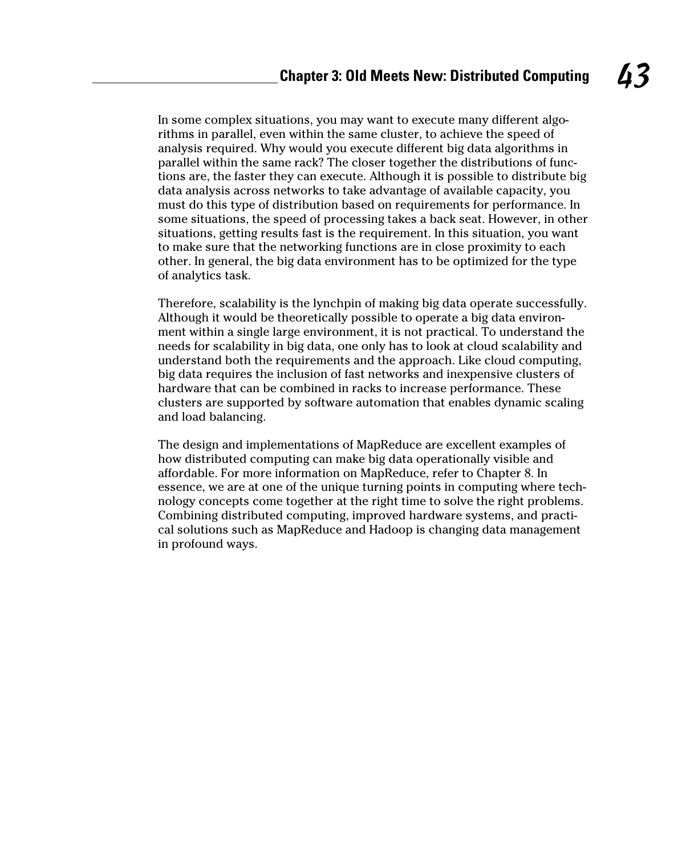In some complex situations, you may want to execute many different algorithms in parallel, even within the same cluster, to achieve the speed of analysis required. Why would you execute different big data algorithms in parallel within the same rack? The closer together the distributions of functions are, the faster they can execute. Although it is possible to distribute big data analysis across networks to take advantage of available capacity, you must do this type of distribution based on requirements for performance. In some situations, the speed of processing takes a back seat. However, in other situations, getting results fast is the requirement. In this situation, you want to make sure that the networking functions are in close proximity to each other. In general, the big data environment has to be optimized for the type of analytics task.

Therefore, scalability is the lynchpin of making big data operate successfully. Although it would be theoretically possible to operate a big data environment within a single large environment, it is not practical. To understand the needs for scalability in big data, one only has to look at cloud scalability and understand both the requirements and the approach. Like cloud computing, big data requires the inclusion of fast networks and inexpensive clusters of hardware that can be combined in racks to increase performance. These clusters are supported by software automation that enables dynamic scaling and load balancing.

The design and implementations of MapReduce are excellent examples of how distributed computing can make big data operationally visible and affordable. For more information on MapReduce, refer to Chapter 8. In essence, we are at one of the unique turning points in computing where technology concepts come together at the right time to solve the right problems. Combining distributed computing, improved hardware systems, and practical solutions such as MapReduce and Hadoop is changing data management in profound ways.